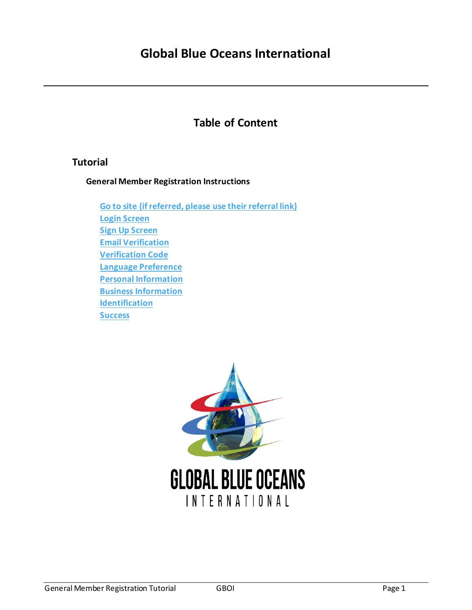## **Table of Content**

## **Tutorial**

**General Member Registration Instructions**

**[Go to site \(if referred, please use their](#page-1-0) referral link) [Login Screen](#page-1-1) [Sign Up Screen](#page-2-0) [Email Verification](#page-2-1) [Verification Code](#page-3-0) [Language Preference](#page-4-0) [Personal Information](#page-4-1) [Business Information](#page-5-0) [Identification](#page-5-1) [Success](#page-5-2)**

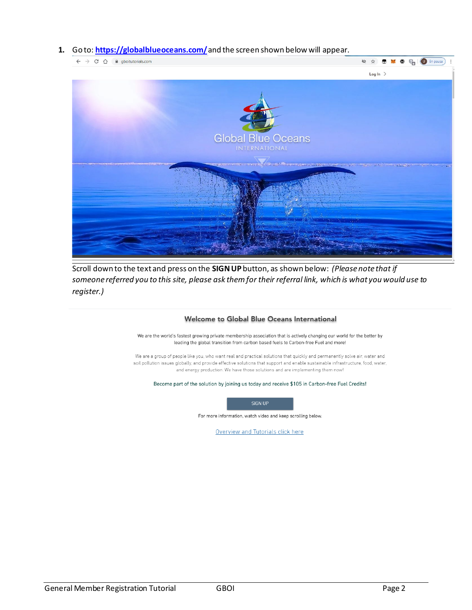## <span id="page-1-0"></span>**1.** Go to: **<https://globalblueoceans.com/>**and the screen shown below will appear.



Scroll down to the text and press on the **SIGN UP** button, as shown below: *(Please note that if someone referred you to this site, please ask them for their referral link, which is what you would use to register.)* 

## Welcome to Global Blue Oceans International

We are the world's fastest growing private membership association that is actively changing our world for the better by leading the global transition from carbon based fuels to Carbon-free Fuel and more!

We are a group of people like you, who want real and practical solutions that quickly and permanently solve air, water and soil pollution issues globally, and provide effective solutions that support and enable sustainable infrastructure, food, water, and energy production. We have those solutions and are implementing them now!

<span id="page-1-1"></span>Become part of the solution by joining us today and receive \$105 in Carbon-free Fuel Credits!



For more information, watch video and keep scrolling below.

Overview and Tutorials click here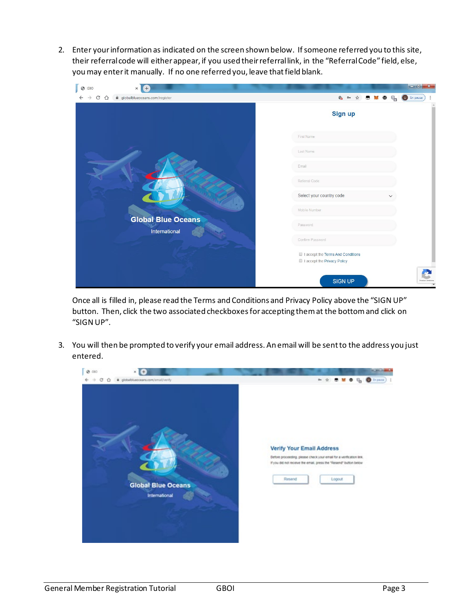<span id="page-2-0"></span>2. Enter your information as indicated on the screen shown below. If someone referred you to this site, their referral code will either appear, if you used their referral link, in the "Referral Code" field, else, you may enter it manually. If no one referred you, leave that field blank.

| $\odot$<br>GBO | $\times$<br>Ŧ                 |                                                                  | $-6$ $x$                |
|----------------|-------------------------------|------------------------------------------------------------------|-------------------------|
| $C$ $\Omega$   | globalblueoceans.com/register | 4 0 ☆ 图<br><b>Signal</b><br>$\bullet$<br>$C_{\square}$           | <b>U</b> En pausa       |
|                |                               | Sign up                                                          |                         |
|                |                               | First Name                                                       |                         |
|                |                               | Last Name                                                        |                         |
|                |                               | Email                                                            |                         |
|                |                               | Referral Code                                                    |                         |
|                |                               | Select your country code                                         |                         |
|                | <b>Global Blue Oceans</b>     | Mobile Number                                                    |                         |
|                | International                 | Password                                                         |                         |
|                |                               | Confirm Password                                                 |                         |
|                |                               | I accept the Terms And Conditions<br>I accept the Privacy Policy |                         |
|                |                               | <b>SIGN UP</b>                                                   | Primaldad - Conditiones |

Once all is filled in, please read the Terms and Conditions and Privacy Policy above the "SIGN UP" button. Then, click the two associated checkboxes for accepting them at the bottom and click on "SIGN UP".

<span id="page-2-1"></span>3. You will then be prompted to verify your email address. An email will be sent to the address you just entered.

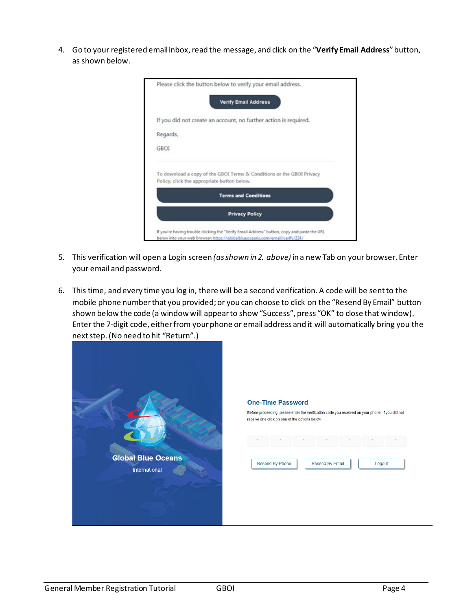4. Go to your registered emailinbox, read the message, and click on the "**Verify Email Address**"button, as shown below.

|             | Please click the button below to verify your email address.                                                          |
|-------------|----------------------------------------------------------------------------------------------------------------------|
|             | <b>Verify Email Address</b>                                                                                          |
|             | If you did not create an account, no further action is required.                                                     |
| Regards,    |                                                                                                                      |
| <b>GBOI</b> |                                                                                                                      |
|             | To download a copy of the GBOI Terms & Conditions or the GBOI Privacy<br>Policy, click the appropriate button below. |
|             | <b>Terms and Conditions</b>                                                                                          |
|             | <b>Privacy Policy</b>                                                                                                |

- 5. This verification will open a Login screen *(as shown in 2. above)* in a new Tab on your browser. Enter your email and password.
- <span id="page-3-0"></span>6. This time, and every time you log in, there will be a second verification. A code will be sent to the mobile phone number that you provided; or you can choose to click on the "Resend By Email" button shown below the code (a window will appear to show "Success", press "OK" to close that window). Enter the 7-digit code, either from your phone or email address and it will automatically bring you the next step. (No need to hit "Return".)

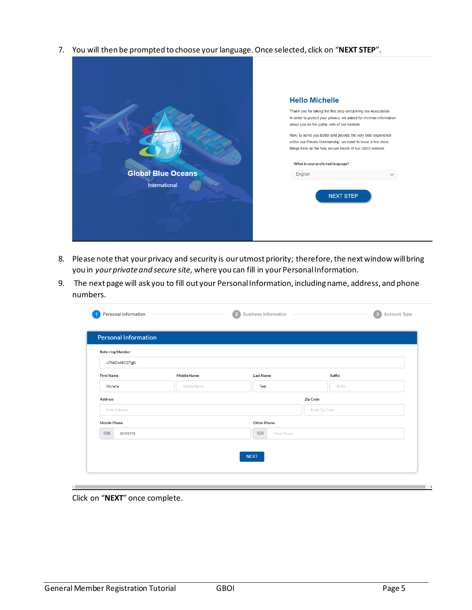<span id="page-4-0"></span>7. You will then be prompted to choose your language. Once selected, click on "**NEXT STEP**".

|                           | <b>Hello Michelle</b>                                                                                                                                                                     |
|---------------------------|-------------------------------------------------------------------------------------------------------------------------------------------------------------------------------------------|
|                           | Thank you for taking the first step and joining our Association.<br>In order to protect your privacy, we asked for minimal information<br>about you on the public side of our website.    |
|                           | Now, to serve you better and provide the very best experience<br>within our Private Membership, we need to know a few more<br>things here on the fully secure inside of our GBOI website. |
| <b>Global Blue Oceans</b> | What is your preferred language?                                                                                                                                                          |
| International             | English<br><b>NEXT STEP</b>                                                                                                                                                               |
|                           |                                                                                                                                                                                           |

- <span id="page-4-1"></span>8. Please note that your privacy and security is our utmost priority; therefore, the next window will bring you in *yourprivate and secure site*, where you can fill in your Personal Information.
- 9. The next page will ask you to fill out your Personal Information, including name, address, and phone numbers.

| <b>Referring Member</b> |                    |                    |                 |
|-------------------------|--------------------|--------------------|-----------------|
| rJ7bbCwlrkCGTgjU        |                    |                    |                 |
| <b>First Name</b>       | <b>Middle Name</b> | <b>Last Name</b>   | Suffix          |
| Michelle                | Middle Name        | Test               | Suffix          |
| <b>Address</b>          |                    |                    | <b>Zip Code</b> |
| <b>Enter Address</b>    |                    |                    | Enter Zip Code  |
| <b>Mobile Phone</b>     |                    | <b>Other Phone</b> |                 |
| 506<br>83315716         |                    | 506<br>Other Phone |                 |

Click on "**NEXT**" once complete.